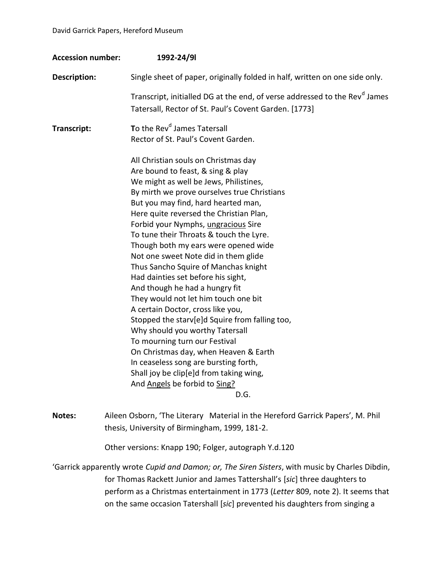| <b>Accession number:</b> | 1992-24/91                                                                                                                                      |
|--------------------------|-------------------------------------------------------------------------------------------------------------------------------------------------|
| Description:             | Single sheet of paper, originally folded in half, written on one side only.                                                                     |
|                          | Transcript, initialled DG at the end, of verse addressed to the Rev <sup>d</sup> James<br>Tatersall, Rector of St. Paul's Covent Garden. [1773] |
| Transcript:              | To the Rev <sup>d</sup> James Tatersall<br>Rector of St. Paul's Covent Garden.                                                                  |
|                          | All Christian souls on Christmas day                                                                                                            |
|                          | Are bound to feast, & sing & play                                                                                                               |
|                          | We might as well be Jews, Philistines,                                                                                                          |
|                          | By mirth we prove ourselves true Christians                                                                                                     |
|                          | But you may find, hard hearted man,                                                                                                             |
|                          | Here quite reversed the Christian Plan,                                                                                                         |
|                          | Forbid your Nymphs, <i>ungracious</i> Sire                                                                                                      |
|                          | To tune their Throats & touch the Lyre.                                                                                                         |
|                          | Though both my ears were opened wide                                                                                                            |
|                          | Not one sweet Note did in them glide                                                                                                            |
|                          | Thus Sancho Squire of Manchas knight                                                                                                            |
|                          | Had dainties set before his sight,                                                                                                              |
|                          | And though he had a hungry fit                                                                                                                  |
|                          | They would not let him touch one bit                                                                                                            |
|                          | A certain Doctor, cross like you,                                                                                                               |
|                          | Stopped the starv[e]d Squire from falling too,                                                                                                  |
|                          | Why should you worthy Tatersall                                                                                                                 |
|                          | To mourning turn our Festival                                                                                                                   |
|                          | On Christmas day, when Heaven & Earth                                                                                                           |
|                          | In ceaseless song are bursting forth,                                                                                                           |
|                          | Shall joy be clip[e]d from taking wing,                                                                                                         |
|                          | And Angels be forbid to Sing?                                                                                                                   |
|                          | D.G.                                                                                                                                            |

**Notes:** Aileen Osborn, 'The Literary Material in the Hereford Garrick Papers', M. Phil thesis, University of Birmingham, 1999, 181-2.

Other versions: Knapp 190; Folger, autograph Y.d.120

'Garrick apparently wrote *Cupid and Damon; or, The Siren Sisters*, with music by Charles Dibdin, for Thomas Rackett Junior and James Tattershall's [*sic*] three daughters to perform as a Christmas entertainment in 1773 (*Letter* 809, note 2). It seems that on the same occasion Tatershall [*sic*] prevented his daughters from singing a